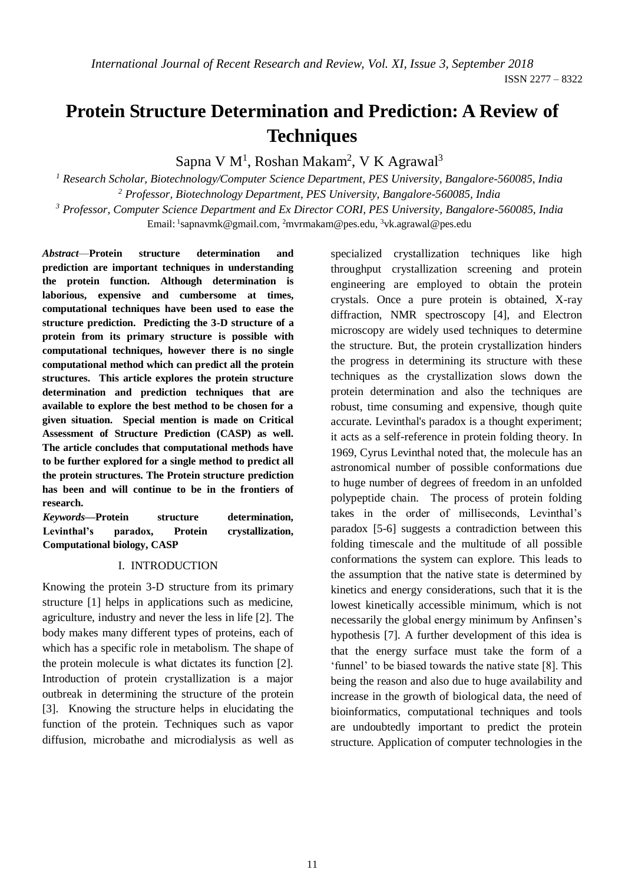# **Protein Structure Determination and Prediction: A Review of Techniques**

Sapna V M<sup>1</sup>, Roshan Makam<sup>2</sup>, V K Agrawal<sup>3</sup>

*<sup>1</sup> Research Scholar, Biotechnology/Computer Science Department, PES University, Bangalore-560085, India <sup>2</sup> Professor, Biotechnology Department, PES University, Bangalore-560085, India <sup>3</sup> Professor, Computer Science Department and Ex Director CORI, PES University, Bangalore-560085, India*

Email: <sup>1</sup>[sapnavmk@gmail.com,](mailto:1sapnavmk@gmail.com) <sup>2</sup>[mvrmakam@pes.edu,](mailto:2mvrmakam@pes.edu) <sup>3</sup>vk.agrawal@pes.edu

*Abstract*—**Protein structure determination and prediction are important techniques in understanding the protein function. Although determination is laborious, expensive and cumbersome at times, computational techniques have been used to ease the structure prediction. Predicting the 3-D structure of a protein from its primary structure is possible with computational techniques, however there is no single computational method which can predict all the protein structures. This article explores the protein structure determination and prediction techniques that are available to explore the best method to be chosen for a given situation. Special mention is made on Critical Assessment of Structure Prediction (CASP) as well. The article concludes that computational methods have to be further explored for a single method to predict all the protein structures. The Protein structure prediction has been and will continue to be in the frontiers of research.** 

*Keywords***—Protein structure determination, Levinthal's paradox, Protein crystallization, Computational biology, CASP**

#### I. INTRODUCTION

Knowing the protein 3-D structure from its primary structure [1] helps in applications such as medicine, agriculture, industry and never the less in life [2]. The body makes many different types of proteins, each of which has a specific role in metabolism. The shape of the protein molecule is what dictates its function [2]. Introduction of protein crystallization is a major outbreak in determining the structure of the protein [3]. Knowing the structure helps in elucidating the function of the protein. Techniques such as vapor diffusion, microbathe and microdialysis as well as specialized crystallization techniques like high throughput crystallization screening and protein engineering are employed to obtain the protein crystals. Once a pure protein is obtained, X-ray diffraction, NMR spectroscopy [4], and Electron microscopy are widely used techniques to determine the structure. But, the protein crystallization hinders the progress in determining its structure with these techniques as the crystallization slows down the protein determination and also the techniques are robust, time consuming and expensive, though quite accurate. Levinthal's paradox is a thought experiment; it acts as a self-reference in protein folding theory. In 1969, Cyrus Levinthal noted that, the molecule has an astronomical number of possible conformations due to huge number of degrees of freedom in an unfolded polypeptide chain. The process of protein folding takes in the order of milliseconds, Levinthal's paradox [5-6] suggests a contradiction between this folding timescale and the multitude of all possible conformations the system can explore. This leads to the assumption that the native state is determined by kinetics and energy considerations, such that it is the lowest kinetically accessible minimum, which is not necessarily the global energy minimum by Anfinsen's hypothesis [7]. A further development of this idea is that the energy surface must take the form of a 'funnel' to be biased towards the native state [8]. This being the reason and also due to huge availability and increase in the growth of biological data, the need of bioinformatics, computational techniques and tools are undoubtedly important to predict the protein structure. Application of computer technologies in the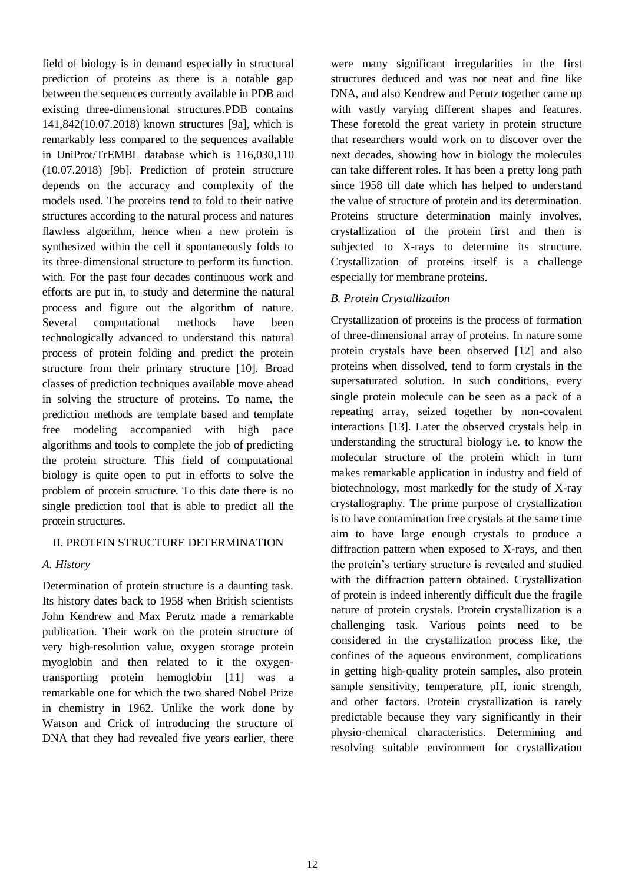field of biology is in demand especially in structural prediction of proteins as there is a notable gap between the sequences currently available in PDB and existing three-dimensional structures.PDB contains 141,842(10.07.2018) known structures [9a], which is remarkably less compared to the sequences available in UniProt/TrEMBL database which is 116,030,110 (10.07.2018) [9b]. Prediction of protein structure depends on the accuracy and complexity of the models used. The proteins tend to fold to their native structures according to the natural process and natures flawless algorithm, hence when a new protein is synthesized within the cell it spontaneously folds to its three-dimensional structure to perform its function. with. For the past four decades continuous work and efforts are put in, to study and determine the natural process and figure out the algorithm of nature. Several computational methods have been technologically advanced to understand this natural process of protein folding and predict the protein structure from their primary structure [10]. Broad classes of prediction techniques available move ahead in solving the structure of proteins. To name, the prediction methods are template based and template free modeling accompanied with high pace algorithms and tools to complete the job of predicting the protein structure. This field of computational biology is quite open to put in efforts to solve the problem of protein structure. To this date there is no single prediction tool that is able to predict all the protein structures.

## II. PROTEIN STRUCTURE DETERMINATION

#### *A. History*

Determination of protein structure is a daunting task. Its history dates back to 1958 when British scientists John Kendrew and Max Perutz made a remarkable publication. Their work on the protein structure of very high-resolution value, oxygen storage protein myoglobin and then related to it the oxygentransporting protein hemoglobin [11] was a remarkable one for which the two shared Nobel Prize in chemistry in 1962. Unlike the work done by Watson and Crick of introducing the structure of DNA that they had revealed five years earlier, there

were many significant irregularities in the first structures deduced and was not neat and fine like DNA, and also Kendrew and Perutz together came up with vastly varying different shapes and features. These foretold the great variety in protein structure that researchers would work on to discover over the next decades, showing how in biology the molecules can take different roles. It has been a pretty long path since 1958 till date which has helped to understand the value of structure of protein and its determination. Proteins structure determination mainly involves, crystallization of the protein first and then is subjected to X-rays to determine its structure. Crystallization of proteins itself is a challenge especially for membrane proteins.

## *B. Protein Crystallization*

Crystallization of proteins is the process of formation of three-dimensional array of proteins. In nature some protein crystals have been observed [12] and also proteins when dissolved, tend to form crystals in the supersaturated solution. In such conditions, every single protein molecule can be seen as a pack of a repeating array, seized together by non-covalent interactions [13]. Later the observed crystals help in understanding the structural biology i.e. to know the molecular structure of the protein which in turn makes remarkable application in industry and field of biotechnology, most markedly for the study of X-ray crystallography. The prime purpose of crystallization is to have contamination free crystals at the same time aim to have large enough crystals to produce a diffraction pattern when exposed to X-rays, and then the protein's tertiary structure is revealed and studied with the diffraction pattern obtained. Crystallization of protein is indeed inherently difficult due the fragile nature of protein crystals. Protein crystallization is a challenging task. Various points need to be considered in the crystallization process like, the confines of the aqueous environment, complications in getting high-quality protein samples, also protein sample sensitivity, temperature, pH, ionic strength, and other factors. Protein crystallization is rarely predictable because they vary significantly in their physio-chemical characteristics. Determining and resolving suitable environment for crystallization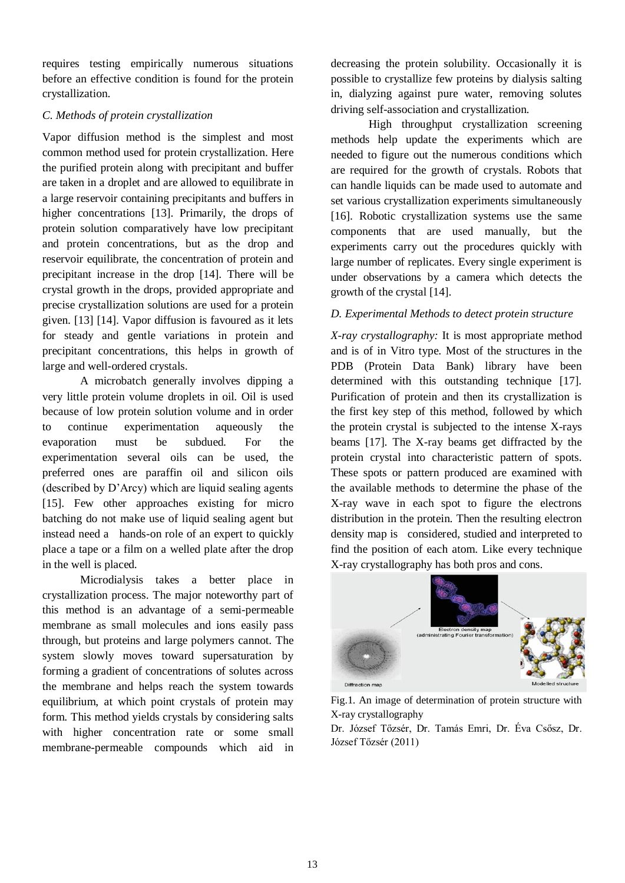requires testing empirically numerous situations before an effective condition is found for the protein crystallization.

## *C. Methods of protein crystallization*

Vapor diffusion method is the simplest and most common method used for protein crystallization. Here the purified protein along with precipitant and buffer are taken in a droplet and are allowed to equilibrate in a large reservoir containing precipitants and buffers in higher concentrations [13]. Primarily, the drops of protein solution comparatively have low precipitant and protein concentrations, but as the drop and reservoir equilibrate, the concentration of protein and precipitant increase in the drop [14]. There will be crystal growth in the drops, provided appropriate and precise crystallization solutions are used for a protein given. [13] [14]. Vapor diffusion is favoured as it lets for steady and gentle variations in protein and precipitant concentrations, this helps in growth of large and well-ordered crystals.

A microbatch generally involves dipping a very little protein volume droplets in oil. Oil is used because of low protein solution volume and in order to continue experimentation aqueously the evaporation must be subdued. For the experimentation several oils can be used, the preferred ones are paraffin oil and silicon oils (described by D'Arcy) which are liquid sealing agents [15]. Few other approaches existing for micro batching do not make use of liquid sealing agent but instead need a hands-on role of an expert to quickly place a tape or a film on a welled plate after the drop in the well is placed.

Microdialysis takes a better place in crystallization process. The major noteworthy part of this method is an advantage of a semi-permeable membrane as small molecules and ions easily pass through, but proteins and large polymers cannot. The system slowly moves toward supersaturation by forming a gradient of concentrations of solutes across the membrane and helps reach the system towards equilibrium, at which point crystals of protein may form. This method yields crystals by considering salts with higher concentration rate or some small membrane-permeable compounds which aid in decreasing the protein solubility. Occasionally it is possible to crystallize few proteins by dialysis salting in, dialyzing against pure water, removing solutes driving self-association and crystallization.

High throughput crystallization screening methods help update the experiments which are needed to figure out the numerous conditions which are required for the growth of crystals. Robots that can handle liquids can be made used to automate and set various crystallization experiments simultaneously [16]. Robotic crystallization systems use the same components that are used manually, but the experiments carry out the procedures quickly with large number of replicates. Every single experiment is under observations by a camera which detects the growth of the crystal [14].

## *D. Experimental Methods to detect protein structure*

*X-ray crystallography:* It is most appropriate method and is of in Vitro type. Most of the structures in the PDB (Protein Data Bank) library have been determined with this outstanding technique [17]. Purification of protein and then its crystallization is the first key step of this method, followed by which the protein crystal is subjected to the intense X-rays beams [17]. The X-ray beams get diffracted by the protein crystal into characteristic pattern of spots. These spots or pattern produced are examined with the available methods to determine the phase of the X-ray wave in each spot to figure the electrons distribution in the protein. Then the resulting electron density map is considered, studied and interpreted to find the position of each atom. Like every technique X-ray crystallography has both pros and cons.



Fig.1. An image of determination of protein structure with X-ray crystallography

Dr. József Tőzsér, Dr. Tamás Emri, Dr. Éva Csősz, Dr. József Tőzsér (2011)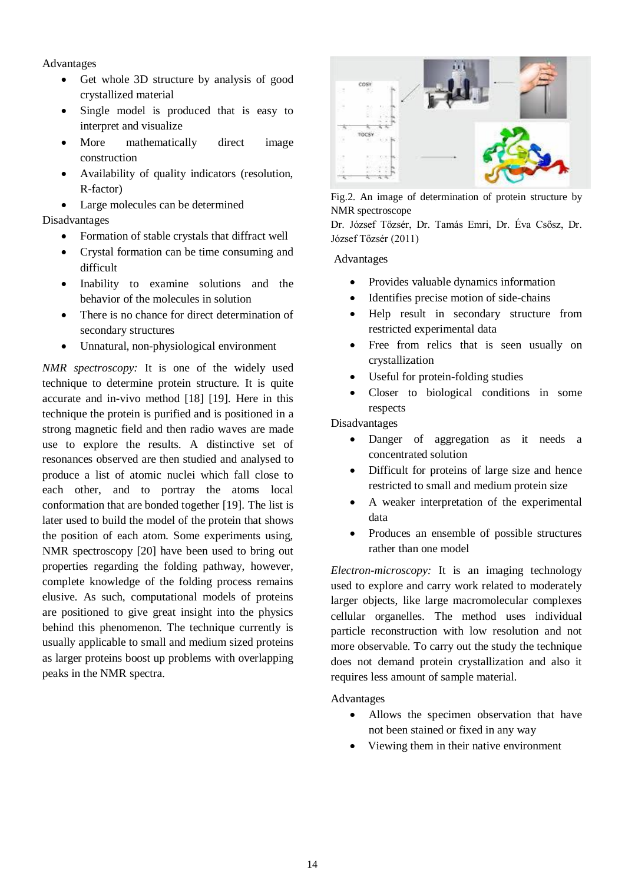Advantages

- Get whole 3D structure by analysis of good crystallized material
- Single model is produced that is easy to interpret and visualize
- More mathematically direct image construction
- Availability of quality indicators (resolution, R-factor)
- Large molecules can be determined

## Disadvantages

- Formation of stable crystals that diffract well
- Crystal formation can be time consuming and difficult
- Inability to examine solutions and the behavior of the molecules in solution
- There is no chance for direct determination of secondary structures
- Unnatural, non-physiological environment

*NMR spectroscopy:* It is one of the widely used technique to determine protein structure. It is quite accurate and in-vivo method [18] [19]. Here in this technique the protein is purified and is positioned in a strong magnetic field and then radio waves are made use to explore the results. A distinctive set of resonances observed are then studied and analysed to produce a list of atomic nuclei which fall close to each other, and to portray the atoms local conformation that are bonded together [19]. The list is later used to build the model of the protein that shows the position of each atom. Some experiments using, NMR spectroscopy [20] have been used to bring out properties regarding the folding pathway, however, complete knowledge of the folding process remains elusive. As such, computational models of proteins are positioned to give great insight into the physics behind this phenomenon. The technique currently is usually applicable to small and medium sized proteins as larger proteins boost up problems with overlapping peaks in the NMR spectra.



Fig.2. An image of determination of protein structure by NMR spectroscope

Dr. József Tőzsér, Dr. Tamás Emri, Dr. Éva Csősz, Dr. József Tőzsér (2011)

Advantages

- Provides valuable dynamics information
- Identifies precise motion of side-chains
- Help result in secondary structure from restricted experimental data
- Free from relics that is seen usually on crystallization
- Useful for protein-folding studies
- Closer to biological conditions in some respects

Disadvantages

- Danger of aggregation as it needs a concentrated solution
- Difficult for proteins of large size and hence restricted to small and medium protein size
- A weaker interpretation of the experimental data
- Produces an ensemble of possible structures rather than one model

*Electron-microscopy:* It is an imaging technology used to explore and carry work related to moderately larger objects, like large macromolecular complexes cellular organelles. The method uses individual particle reconstruction with low resolution and not more observable. To carry out the study the technique does not demand protein crystallization and also it requires less amount of sample material.

Advantages

- Allows the specimen observation that have not been stained or fixed in any way
- Viewing them in their native environment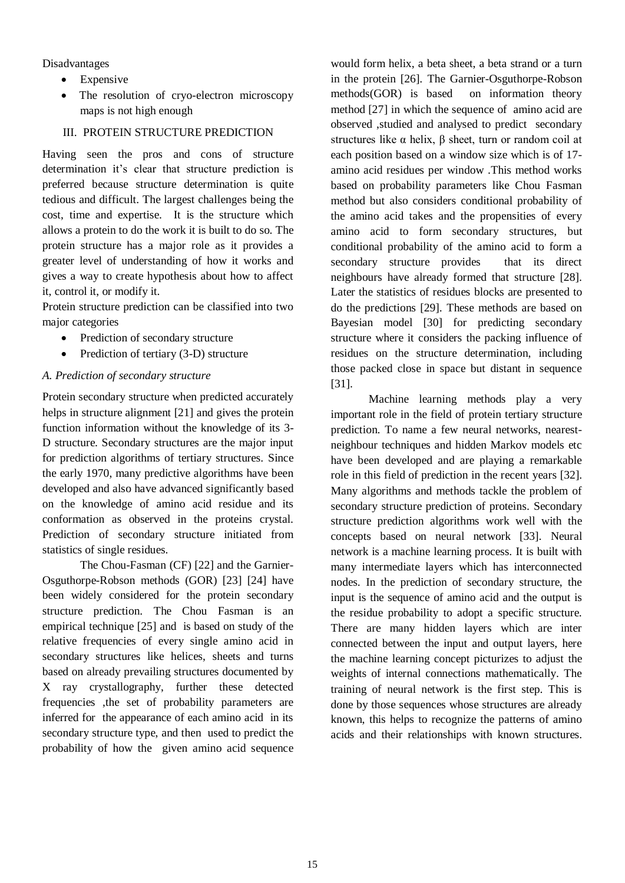Disadvantages

- Expensive
- The resolution of cryo-electron microscopy maps is not high enough

## III. PROTEIN STRUCTURE PREDICTION

Having seen the pros and cons of structure determination it's clear that structure prediction is preferred because structure determination is quite tedious and difficult. The largest challenges being the cost, time and expertise. It is the structure which allows a protein to do the work it is built to do so. The protein structure has a major role as it provides a greater level of understanding of how it works and gives a way to create hypothesis about how to affect it, control it, or modify it.

Protein structure prediction can be classified into two major categories

- Prediction of secondary structure
- Prediction of tertiary (3-D) structure

## *A. Prediction of secondary structure*

Protein secondary structure when predicted accurately helps in structure alignment [21] and gives the protein function information without the knowledge of its 3- D structure. Secondary structures are the major input for prediction algorithms of tertiary structures. Since the early 1970, many predictive algorithms have been developed and also have advanced significantly based on the knowledge of amino acid residue and its conformation as observed in the proteins crystal. Prediction of secondary structure initiated from statistics of single residues.

The Chou-Fasman (CF) [22] and the Garnier-Osguthorpe-Robson methods (GOR) [23] [24] have been widely considered for the protein secondary structure prediction. The Chou Fasman is an empirical technique [25] and is based on study of the relative frequencies of every single amino acid in secondary structures like helices, sheets and turns based on already prevailing structures documented by X ray crystallography, further these detected frequencies ,the set of probability parameters are inferred for the appearance of each amino acid in its secondary structure type, and then used to predict the probability of how the given amino acid sequence

would form helix, a beta sheet, a beta strand or a turn in the protein [26]. The Garnier-Osguthorpe-Robson methods(GOR) is based on information theory method [27] in which the sequence of amino acid are observed ,studied and analysed to predict secondary structures like  $\alpha$  helix,  $\beta$  sheet, turn or random coil at each position based on a window size which is of 17 amino acid residues per window .This method works based on probability parameters like Chou Fasman method but also considers conditional probability of the amino acid takes and the propensities of every amino acid to form secondary structures, but conditional probability of the amino acid to form a secondary structure provides that its direct neighbours have already formed that structure [28]. Later the statistics of residues blocks are presented to do the predictions [29]. These methods are based on Bayesian model [30] for predicting secondary structure where it considers the packing influence of residues on the structure determination, including those packed close in space but distant in sequence [31].

Machine learning methods play a very important role in the field of protein tertiary structure prediction. To name a few neural networks, nearestneighbour techniques and hidden Markov models etc have been developed and are playing a remarkable role in this field of prediction in the recent years [32]. Many algorithms and methods tackle the problem of secondary structure prediction of proteins. Secondary structure prediction algorithms work well with the concepts based on neural network [33]. Neural network is a machine learning process. It is built with many intermediate layers which has interconnected nodes. In the prediction of secondary structure, the input is the sequence of amino acid and the output is the residue probability to adopt a specific structure. There are many hidden layers which are inter connected between the input and output layers, here the machine learning concept picturizes to adjust the weights of internal connections mathematically. The training of neural network is the first step. This is done by those sequences whose structures are already known, this helps to recognize the patterns of amino acids and their relationships with known structures.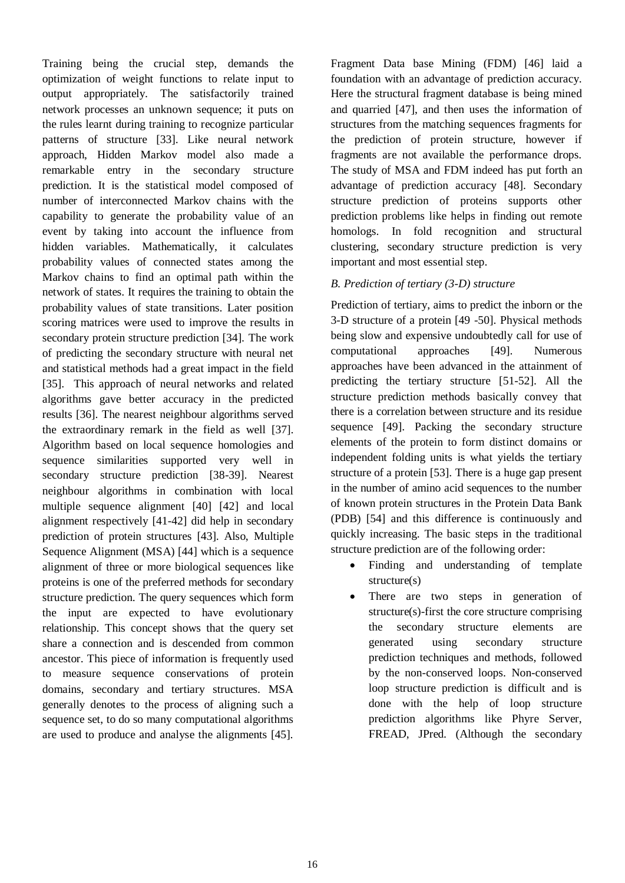Training being the crucial step, demands the optimization of weight functions to relate input to output appropriately. The satisfactorily trained network processes an unknown sequence; it puts on the rules learnt during training to recognize particular patterns of structure [33]. Like neural network approach, Hidden Markov model also made a remarkable entry in the secondary structure prediction. It is the statistical model composed of number of interconnected Markov chains with the capability to generate the probability value of an event by taking into account the influence from hidden variables. Mathematically, it calculates probability values of connected states among the Markov chains to find an optimal path within the network of states. It requires the training to obtain the probability values of state transitions. Later position scoring matrices were used to improve the results in secondary protein structure prediction [34]. The work of predicting the secondary structure with neural net and statistical methods had a great impact in the field [35]. This approach of neural networks and related algorithms gave better accuracy in the predicted results [36]. The nearest neighbour algorithms served the extraordinary remark in the field as well [37]. Algorithm based on local sequence homologies and sequence similarities supported very well in secondary structure prediction [38-39]. Nearest neighbour algorithms in combination with local multiple sequence alignment [40] [42] and local alignment respectively [41-42] did help in secondary prediction of protein structures [43]. Also, Multiple Sequence Alignment (MSA) [44] which is a sequence alignment of three or more biological sequences like proteins is one of the preferred methods for secondary structure prediction. The query sequences which form the input are expected to have evolutionary relationship. This concept shows that the query set share a connection and is descended from common ancestor. This piece of information is frequently used to measure sequence conservations of protein domains, secondary and tertiary structures. MSA generally denotes to the process of aligning such a sequence set, to do so many computational algorithms are used to produce and analyse the alignments [45].

Fragment Data base Mining (FDM) [46] laid a foundation with an advantage of prediction accuracy. Here the structural fragment database is being mined and quarried [47], and then uses the information of structures from the matching sequences fragments for the prediction of protein structure, however if fragments are not available the performance drops. The study of MSA and FDM indeed has put forth an advantage of prediction accuracy [48]. Secondary structure prediction of proteins supports other prediction problems like helps in finding out remote homologs. In fold recognition and structural clustering, secondary structure prediction is very important and most essential step.

#### *B. Prediction of tertiary (3-D) structure*

Prediction of tertiary, aims to predict the inborn or the 3-D structure of a protein [49 -50]. Physical methods being slow and expensive undoubtedly call for use of computational approaches [49]. Numerous approaches have been advanced in the attainment of predicting the tertiary structure [51-52]. All the structure prediction methods basically convey that there is a correlation between structure and its residue sequence [49]. Packing the secondary structure elements of the protein to form distinct domains or independent folding units is what yields the tertiary structure of a protein [53]. There is a huge gap present in the number of amino acid sequences to the number of known protein structures in the Protein Data Bank (PDB) [54] and this difference is continuously and quickly increasing. The basic steps in the traditional structure prediction are of the following order:

- Finding and understanding of template structure(s)
- There are two steps in generation of structure(s)-first the core structure comprising the secondary structure elements are generated using secondary structure prediction techniques and methods, followed by the non-conserved loops. Non-conserved loop structure prediction is difficult and is done with the help of loop structure prediction algorithms like Phyre Server, FREAD, JPred. (Although the secondary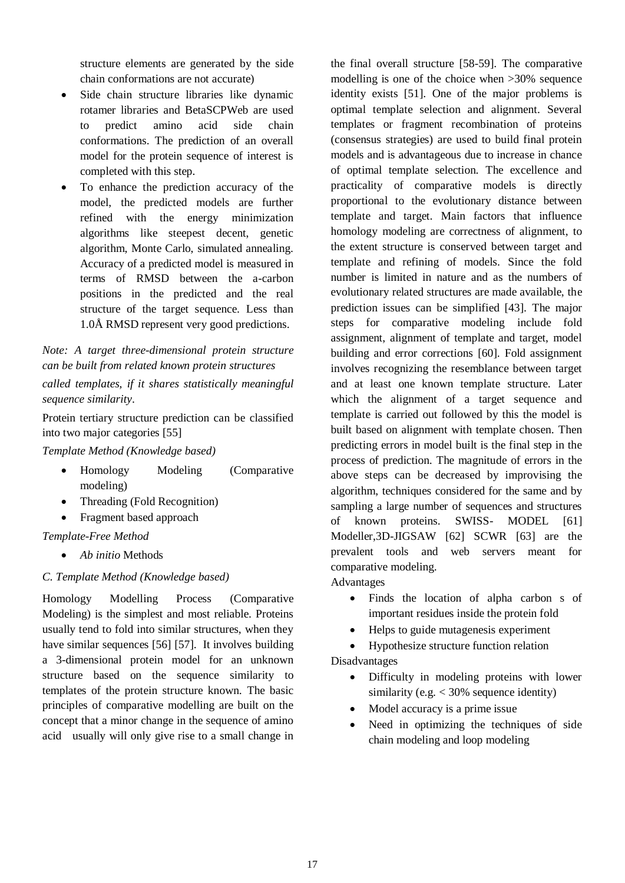structure elements are generated by the side chain conformations are not accurate)

- Side chain structure libraries like dynamic rotamer libraries and BetaSCPWeb are used to predict amino acid side chain conformations. The prediction of an overall model for the protein sequence of interest is completed with this step.
- To enhance the prediction accuracy of the model, the predicted models are further refined with the energy minimization algorithms like steepest decent, genetic algorithm, Monte Carlo, simulated annealing. Accuracy of a predicted model is measured in terms of RMSD between the a-carbon positions in the predicted and the real structure of the target sequence. Less than 1.0Å RMSD represent very good predictions.

## *Note: A target three-dimensional protein structure can be built from related known protein structures*

*called templates, if it shares statistically meaningful sequence similarity*.

Protein tertiary structure prediction can be classified into two major categories [55]

*Template Method (Knowledge based)*

- Homology Modeling (Comparative modeling)
- Threading (Fold Recognition)
- Fragment based approach

## *Template-Free Method*

*Ab initio* Methods

## *C. Template Method (Knowledge based)*

Homology Modelling Process (Comparative Modeling) is the simplest and most reliable. Proteins usually tend to fold into similar structures, when they have similar sequences [56] [57]. It involves building a 3-dimensional protein model for an unknown structure based on the sequence similarity to templates of the protein structure known. The basic principles of comparative modelling are built on the concept that a minor change in the sequence of amino acid usually will only give rise to a small change in

the final overall structure [58-59]. The comparative modelling is one of the choice when >30% sequence identity exists [51]. One of the major problems is optimal template selection and alignment. Several templates or fragment recombination of proteins (consensus strategies) are used to build final protein models and is advantageous due to increase in chance of optimal template selection. The excellence and practicality of comparative models is directly proportional to the evolutionary distance between template and target. Main factors that influence homology modeling are correctness of alignment, to the extent structure is conserved between target and template and refining of models. Since the fold number is limited in nature and as the numbers of evolutionary related structures are made available, the prediction issues can be simplified [43]. The major steps for comparative modeling include fold assignment, alignment of template and target, model building and error corrections [60]. Fold assignment involves recognizing the resemblance between target and at least one known template structure. Later which the alignment of a target sequence and template is carried out followed by this the model is built based on alignment with template chosen. Then predicting errors in model built is the final step in the process of prediction. The magnitude of errors in the above steps can be decreased by improvising the algorithm, techniques considered for the same and by sampling a large number of sequences and structures of known proteins. SWISS- MODEL [61] Modeller,3D-JIGSAW [62] SCWR [63] are the prevalent tools and web servers meant for comparative modeling.

Advantages

- Finds the location of alpha carbon s of important residues inside the protein fold
- Helps to guide mutagenesis experiment
- Hypothesize structure function relation Disadvantages
	- Difficulty in modeling proteins with lower similarity (e.g.  $<$  30% sequence identity)
	- Model accuracy is a prime issue
	- Need in optimizing the techniques of side chain modeling and loop modeling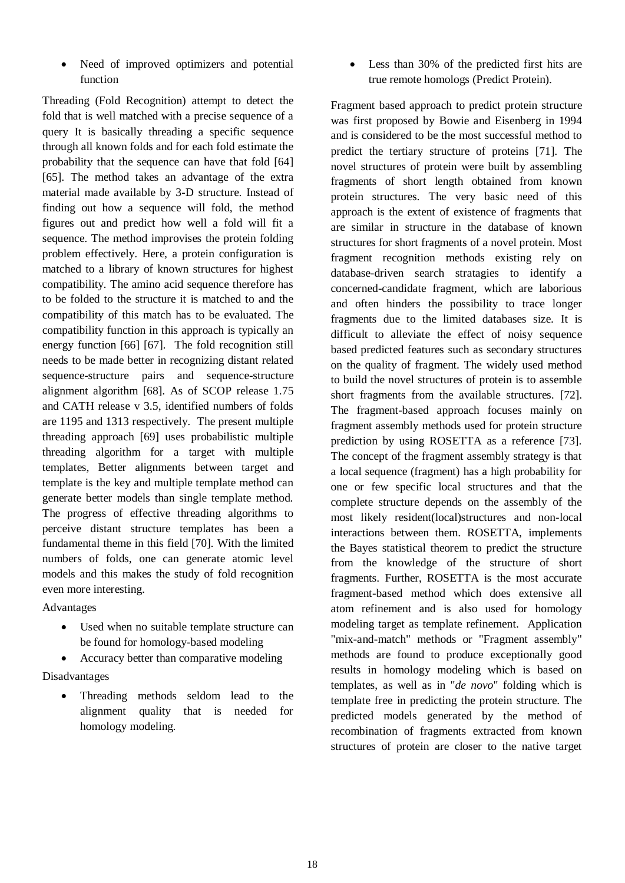• Need of improved optimizers and potential function

Threading (Fold Recognition) attempt to detect the fold that is well matched with a precise sequence of a query It is basically threading a specific sequence through all known folds and for each fold estimate the probability that the sequence can have that fold [64] [65]. The method takes an advantage of the extra material made available by 3-D structure. Instead of finding out how a sequence will fold, the method figures out and predict how well a fold will fit a sequence. The method improvises the protein folding problem effectively. Here, a protein configuration is matched to a library of known structures for highest compatibility. The amino acid sequence therefore has to be folded to the structure it is matched to and the compatibility of this match has to be evaluated. The compatibility function in this approach is typically an energy function [66] [67]. The fold recognition still needs to be made better in recognizing distant related sequence-structure pairs and sequence-structure alignment algorithm [68]. As of SCOP release 1.75 and CATH release v 3.5, identified numbers of folds are 1195 and 1313 respectively. The present multiple threading approach [69] uses probabilistic multiple threading algorithm for a target with multiple templates, Better alignments between target and template is the key and multiple template method can generate better models than single template method. The progress of effective threading algorithms to perceive distant structure templates has been a fundamental theme in this field [70]. With the limited numbers of folds, one can generate atomic level models and this makes the study of fold recognition even more interesting.

Advantages

- Used when no suitable template structure can be found for homology-based modeling
- Accuracy better than comparative modeling

Disadvantages

• Threading methods seldom lead to the alignment quality that is needed for homology modeling.

• Less than 30% of the predicted first hits are true remote homologs (Predict Protein).

Fragment based approach to predict protein structure was first proposed by Bowie and Eisenberg in 1994 and is considered to be the most successful method to predict the tertiary structure of proteins [71]. The novel structures of protein were built by assembling fragments of short length obtained from known protein structures. The very basic need of this approach is the extent of existence of fragments that are similar in structure in the database of known structures for short fragments of a novel protein. Most fragment recognition methods existing rely on database-driven search stratagies to identify a concerned-candidate fragment, which are laborious and often hinders the possibility to trace longer fragments due to the limited databases size. It is difficult to alleviate the effect of noisy sequence based predicted features such as secondary structures on the quality of fragment. The widely used method to build the novel structures of protein is to assemble short fragments from the available structures. [72]. The fragment-based approach focuses mainly on fragment assembly methods used for protein structure prediction by using ROSETTA as a reference [73]. The concept of the fragment assembly strategy is that a local sequence (fragment) has a high probability for one or few specific local structures and that the complete structure depends on the assembly of the most likely resident(local)structures and non-local interactions between them. ROSETTA, implements the Bayes statistical theorem to predict the structure from the knowledge of the structure of short fragments. Further, ROSETTA is the most accurate fragment-based method which does extensive all atom refinement and is also used for homology modeling target as template refinement. Application "mix-and-match" methods or "Fragment assembly" methods are found to produce exceptionally good results in homology modeling which is based on templates, as well as in "*de novo*" folding which is template free in predicting the protein structure. The predicted models generated by the method of recombination of fragments extracted from known structures of protein are closer to the native target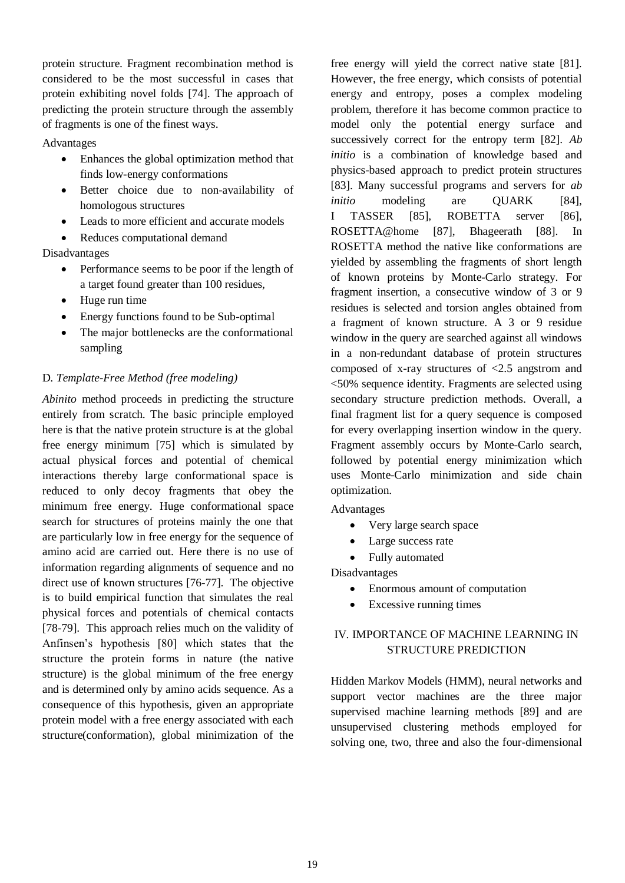protein structure. Fragment recombination method is considered to be the most successful in cases that protein exhibiting novel folds [74]. The approach of predicting the protein structure through the assembly of fragments is one of the finest ways.

#### Advantages

- Enhances the global optimization method that finds low-energy conformations
- Better choice due to non-availability of homologous structures
- Leads to more efficient and accurate models
- Reduces computational demand

Disadvantages

- Performance seems to be poor if the length of a target found greater than 100 residues,
- Huge run time
- Energy functions found to be Sub-optimal
- The major bottlenecks are the conformational sampling

#### D*. Template-Free Method (free modeling)*

*Abinito* method proceeds in predicting the structure entirely from scratch. The basic principle employed here is that the native protein structure is at the global free energy minimum [75] which is simulated by actual physical forces and potential of chemical interactions thereby large conformational space is reduced to only decoy fragments that obey the minimum free energy. Huge conformational space search for structures of proteins mainly the one that are particularly low in free energy for the sequence of amino acid are carried out. Here there is no use of information regarding alignments of sequence and no direct use of known structures [76-77]. The objective is to build empirical function that simulates the real physical forces and potentials of chemical contacts [78-79]. This approach relies much on the validity of Anfinsen's hypothesis [80] which states that the structure the protein forms in nature (the native structure) is the global minimum of the free energy and is determined only by amino acids sequence. As a consequence of this hypothesis, given an appropriate protein model with a free energy associated with each structure(conformation), global minimization of the

free energy will yield the correct native state [81]. However, the free energy, which consists of potential energy and entropy, poses a complex modeling problem, therefore it has become common practice to model only the potential energy surface and successively correct for the entropy term [82]. *Ab initio* is a combination of knowledge based and physics-based approach to predict protein structures [83]. Many successful programs and servers for *ab initio* modeling are QUARK [84], I TASSER [85], ROBETTA server [86], [ROSETTA@home](mailto:ROSETTA@home) [87], Bhageerath [88]. In ROSETTA method the native like conformations are yielded by assembling the fragments of short length of known proteins by Monte-Carlo strategy. For fragment insertion, a consecutive window of 3 or 9 residues is selected and torsion angles obtained from a fragment of known structure. A 3 or 9 residue window in the query are searched against all windows in a non-redundant database of protein structures composed of x-ray structures of <2.5 angstrom and <50% sequence identity. Fragments are selected using secondary structure prediction methods. Overall, a final fragment list for a query sequence is composed for every overlapping insertion window in the query. Fragment assembly occurs by Monte-Carlo search, followed by potential energy minimization which uses Monte-Carlo minimization and side chain optimization.

Advantages

- Very large search space
- Large success rate
- Fully automated

Disadvantages

- Enormous amount of computation
- Excessive running times

## IV. IMPORTANCE OF MACHINE LEARNING IN STRUCTURE PREDICTION

Hidden Markov Models (HMM), neural networks and support vector machines are the three major supervised machine learning methods [89] and are unsupervised clustering methods employed for solving one, two, three and also the four-dimensional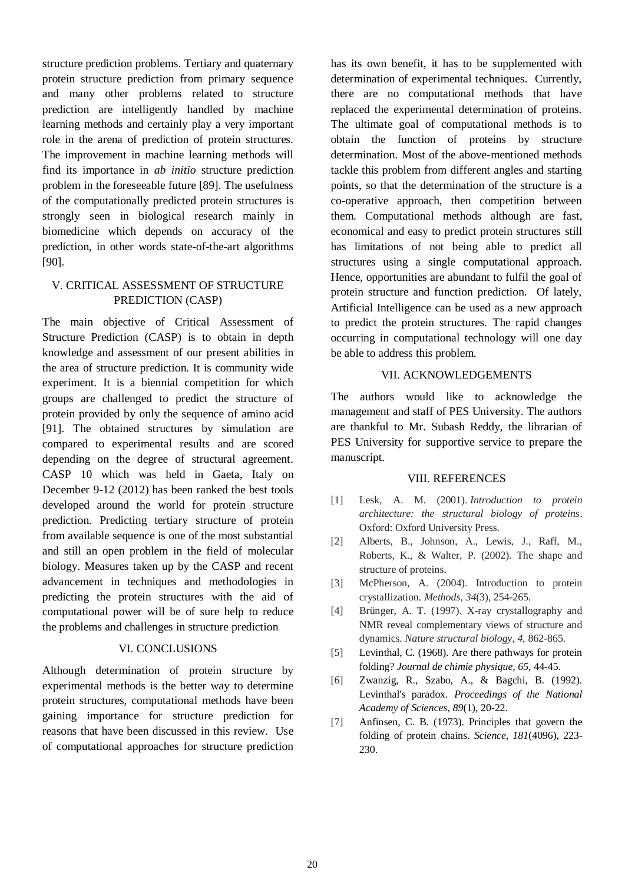structure prediction problems. Tertiary and quaternary protein structure prediction from primary sequence and many other problems related to structure prediction are intelligently handled by machine learning methods and certainly play a very important role in the arena of prediction of protein structures. The improvement in machine learning methods will find its importance in *ab initio* structure prediction problem in the foreseeable future [89]. The usefulness of the computationally predicted protein structures is strongly seen in biological research mainly in biomedicine which depends on accuracy of the prediction, in other words state-of-the-art algorithms [90].

## V. CRITICAL ASSESSMENT OF STRUCTURE PREDICTION (CASP)

The main objective of Critical Assessment of Structure Prediction (CASP) is to obtain in depth knowledge and assessment of our present abilities in the area of structure prediction. It is community wide experiment. It is a biennial competition for which groups are challenged to predict the structure of protein provided by only the sequence of amino acid [91]. The obtained structures by simulation are compared to experimental results and are scored depending on the degree of structural agreement. CASP 10 which was held in Gaeta, Italy on December 9-12 (2012) has been ranked the best tools developed around the world for protein structure prediction. Predicting tertiary structure of protein from available sequence is one of the most substantial and still an open problem in the field of molecular biology. Measures taken up by the CASP and recent advancement in techniques and methodologies in predicting the protein structures with the aid of computational power will be of sure help to reduce the problems and challenges in structure prediction

#### VI. CONCLUSIONS

Although determination of protein structure by experimental methods is the better way to determine protein structures, computational methods have been gaining importance for structure prediction for reasons that have been discussed in this review. Use of computational approaches for structure prediction

has its own benefit, it has to be supplemented with determination of experimental techniques. Currently, there are no computational methods that have replaced the experimental determination of proteins. The ultimate goal of computational methods is to obtain the function of proteins by structure determination. Most of the above-mentioned methods tackle this problem from different angles and starting points, so that the determination of the structure is a co-operative approach, then competition between them. Computational methods although are fast, economical and easy to predict protein structures still has limitations of not being able to predict all structures using a single computational approach. Hence, opportunities are abundant to fulfil the goal of protein structure and function prediction. Of lately, Artificial Intelligence can be used as a new approach to predict the protein structures. The rapid changes occurring in computational technology will one day be able to address this problem.

#### VII. ACKNOWLEDGEMENTS

The authors would like to acknowledge the management and staff of PES University. The authors are thankful to Mr. Subash Reddy, the librarian of PES University for supportive service to prepare the manuscript.

#### VIII. REFERENCES

- [1] Lesk, A. M. (2001). *Introduction to protein architecture: the structural biology of proteins*. Oxford: Oxford University Press.
- [2] Alberts, B., Johnson, A., Lewis, J., Raff, M., Roberts, K., & Walter, P. (2002). The shape and structure of proteins.
- [3] McPherson, A. (2004). Introduction to protein crystallization. *Methods*, *34*(3), 254-265.
- [4] Brünger, A. T. (1997). X-ray crystallography and NMR reveal complementary views of structure and dynamics. *Nature structural biology*, *4*, 862-865.
- [5] Levinthal, C. (1968). Are there pathways for protein folding? *Journal de chimie physique*, *65*, 44-45.
- [6] Zwanzig, R., Szabo, A., & Bagchi, B. (1992). Levinthal's paradox. *Proceedings of the National Academy of Sciences*, *89*(1), 20-22.
- [7] Anfinsen, C. B. (1973). Principles that govern the folding of protein chains. *Science*, *181*(4096), 223- 230.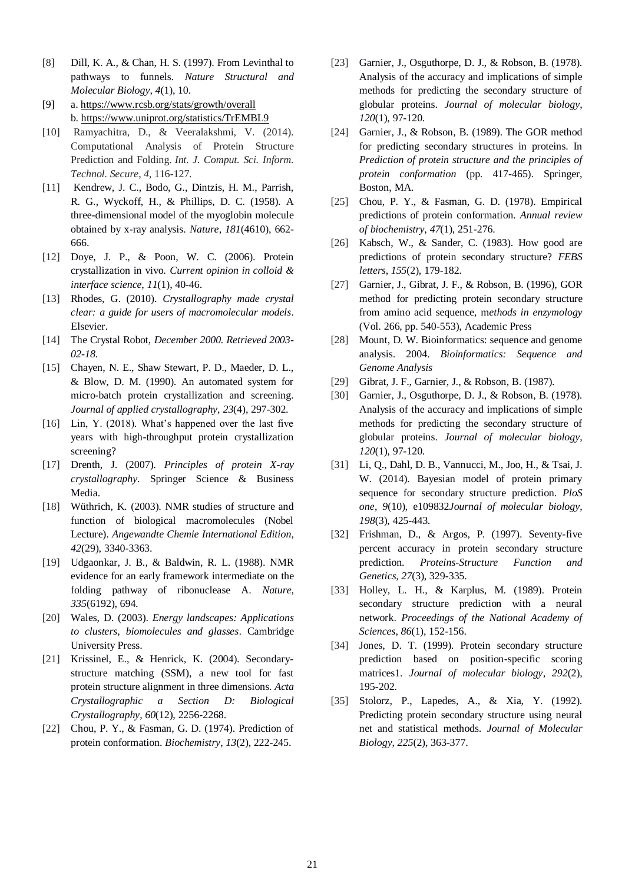- [8] Dill, K. A., & Chan, H. S. (1997). From Levinthal to pathways to funnels. *Nature Structural and Molecular Biology*, *4*(1), 10.
- [9] a[. https://www.rcsb.org/stats/growth/overall](https://www.rcsb.org/stats/growth/overall)  b.<https://www.uniprot.org/statistics/TrEMBL9>
- [10] Ramyachitra, D., & Veeralakshmi, V. (2014). Computational Analysis of Protein Structure Prediction and Folding. *Int. J. Comput. Sci. Inform. Technol. Secure*, *4*, 116-127.
- [11] Kendrew, J. C., Bodo, G., Dintzis, H. M., Parrish, R. G., Wyckoff, H., & Phillips, D. C. (1958). A three-dimensional model of the myoglobin molecule obtained by x-ray analysis. *Nature*, *181*(4610), 662- 666.
- [12] Doye, J. P., & Poon, W. C. (2006). Protein crystallization in vivo. *Current opinion in colloid & interface science*, *11*(1), 40-46.
- [13] Rhodes, G. (2010). *Crystallography made crystal clear: a guide for users of macromolecular models*. Elsevier.
- [14] The Crystal Robot, *December 2000. Retrieved 2003- 02-18.*
- [15] Chayen, N. E., Shaw Stewart, P. D., Maeder, D. L., & Blow, D. M. (1990). An automated system for micro-batch protein crystallization and screening. *Journal of applied crystallography*, *23*(4), 297-302.
- [16] Lin, Y. (2018). What's happened over the last five years with high-throughput protein crystallization screening?
- [17] Drenth, J. (2007). *Principles of protein X-ray crystallography*. Springer Science & Business Media.
- [18] Wüthrich, K. (2003). NMR studies of structure and function of biological macromolecules (Nobel Lecture). *Angewandte Chemie International Edition*, *42*(29), 3340-3363.
- [19] Udgaonkar, J. B., & Baldwin, R. L. (1988). NMR evidence for an early framework intermediate on the folding pathway of ribonuclease A. *Nature*, *335*(6192), 694.
- [20] Wales, D. (2003). *Energy landscapes: Applications to clusters, biomolecules and glasses*. Cambridge University Press.
- [21] Krissinel, E., & Henrick, K. (2004). Secondarystructure matching (SSM), a new tool for fast protein structure alignment in three dimensions. *Acta Crystallographic a Section D: Biological Crystallography*, *60*(12), 2256-2268.
- [22] Chou, P. Y., & Fasman, G. D. (1974). Prediction of protein conformation. *Biochemistry*, *13*(2), 222-245.
- [23] Garnier, J., Osguthorpe, D. J., & Robson, B. (1978). Analysis of the accuracy and implications of simple methods for predicting the secondary structure of globular proteins. *Journal of molecular biology*, *120*(1), 97-120.
- [24] Garnier, J., & Robson, B. (1989). The GOR method for predicting secondary structures in proteins. In *Prediction of protein structure and the principles of protein conformation* (pp. 417-465). Springer, Boston, MA.
- [25] Chou, P. Y., & Fasman, G. D. (1978). Empirical predictions of protein conformation. *Annual review of biochemistry*, *47*(1), 251-276.
- [26] Kabsch, W., & Sander, C. (1983). How good are predictions of protein secondary structure? *FEBS letters*, *155*(2), 179-182.
- [27] Garnier, J., Gibrat, J. F., & Robson, B. (1996), GOR method for predicting protein secondary structure from amino acid sequence, m*ethods in enzymology* (Vol. 266, pp. 540-553), Academic Press
- [28] Mount, D. W. Bioinformatics: sequence and genome analysis. 2004. *Bioinformatics: Sequence and Genome Analysis*
- [29] Gibrat, J. F., Garnier, J., & Robson, B. (1987).
- [30] Garnier, J., Osguthorpe, D. J., & Robson, B. (1978). Analysis of the accuracy and implications of simple methods for predicting the secondary structure of globular proteins. *Journal of molecular biology*, *120*(1), 97-120.
- [31] Li, Q., Dahl, D. B., Vannucci, M., Joo, H., & Tsai, J. W. (2014). Bayesian model of protein primary sequence for secondary structure prediction. *PloS one*, *9*(10), e109832*Journal of molecular biology*, *198*(3), 425-443.
- [32] Frishman, D., & Argos, P. (1997). Seventy-five percent accuracy in protein secondary structure prediction. *Proteins-Structure Function and Genetics*, *27*(3), 329-335.
- [33] Holley, L. H., & Karplus, M. (1989). Protein secondary structure prediction with a neural network. *Proceedings of the National Academy of Sciences*, *86*(1), 152-156.
- [34] Jones, D. T. (1999). Protein secondary structure prediction based on position-specific scoring matrices1. *Journal of molecular biology*, *292*(2), 195-202.
- [35] Stolorz, P., Lapedes, A., & Xia, Y. (1992). Predicting protein secondary structure using neural net and statistical methods. *Journal of Molecular Biology*, *225*(2), 363-377.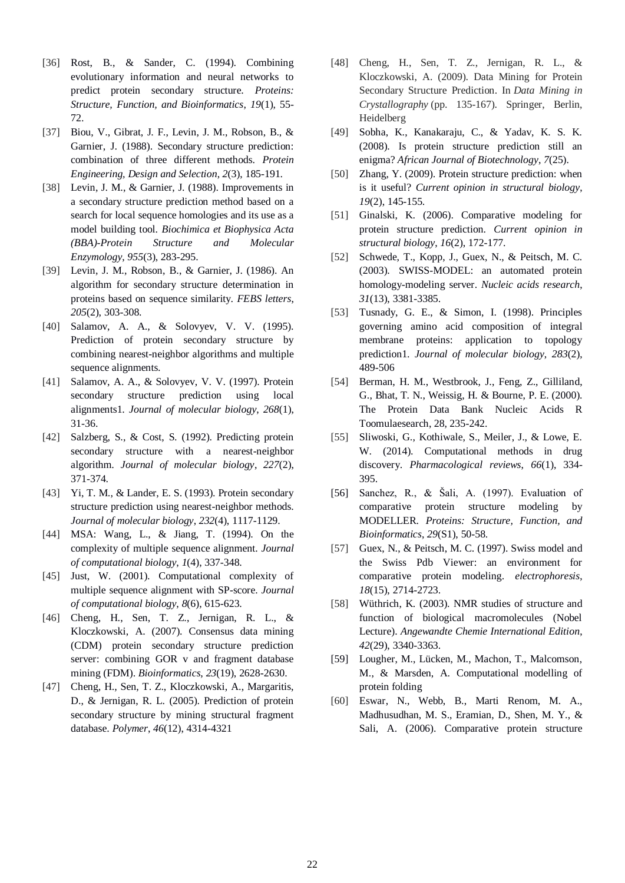- [36] Rost, B., & Sander, C. (1994). Combining evolutionary information and neural networks to predict protein secondary structure. *Proteins: Structure, Function, and Bioinformatics*, *19*(1), 55- 72.
- [37] Biou, V., Gibrat, J. F., Levin, J. M., Robson, B., & Garnier, J. (1988). Secondary structure prediction: combination of three different methods. *Protein Engineering, Design and Selection*, *2*(3), 185-191.
- [38] Levin, J. M., & Garnier, J. (1988). Improvements in a secondary structure prediction method based on a search for local sequence homologies and its use as a model building tool. *Biochimica et Biophysica Acta (BBA)-Protein Structure and Molecular Enzymology*, *955*(3), 283-295.
- [39] Levin, J. M., Robson, B., & Garnier, J. (1986). An algorithm for secondary structure determination in proteins based on sequence similarity. *FEBS letters*, *205*(2), 303-308.
- [40] Salamov, A. A., & Solovyev, V. V. (1995). Prediction of protein secondary structure by combining nearest-neighbor algorithms and multiple sequence alignments.
- [41] Salamov, A. A., & Solovyev, V. V. (1997). Protein secondary structure prediction using local alignments1. *Journal of molecular biology*, *268*(1), 31-36.
- [42] Salzberg, S., & Cost, S. (1992). Predicting protein secondary structure with a nearest-neighbor algorithm. *Journal of molecular biology*, *227*(2), 371-374.
- [43] Yi, T. M., & Lander, E. S. (1993). Protein secondary structure prediction using nearest-neighbor methods. *Journal of molecular biology*, *232*(4), 1117-1129.
- [44] MSA: Wang, L., & Jiang, T. (1994). On the complexity of multiple sequence alignment. *Journal of computational biology*, *1*(4), 337-348.
- [45] Just, W. (2001). Computational complexity of multiple sequence alignment with SP-score. *Journal of computational biology*, *8*(6), 615-623.
- [46] Cheng, H., Sen, T. Z., Jernigan, R. L., & Kloczkowski, A. (2007). Consensus data mining (CDM) protein secondary structure prediction server: combining GOR v and fragment database mining (FDM). *Bioinformatics*, *23*(19), 2628-2630.
- [47] Cheng, H., Sen, T. Z., Kloczkowski, A., Margaritis, D., & Jernigan, R. L. (2005). Prediction of protein secondary structure by mining structural fragment database. *Polymer*, *46*(12), 4314-4321
- [48] Cheng, H., Sen, T. Z., Jernigan, R. L., & Kloczkowski, A. (2009). Data Mining for Protein Secondary Structure Prediction. In *Data Mining in Crystallography* (pp. 135-167). Springer, Berlin, Heidelberg
- [49] Sobha, K., Kanakaraju, C., & Yadav, K. S. K. (2008). Is protein structure prediction still an enigma? *African Journal of Biotechnology*, *7*(25).
- [50] Zhang, Y. (2009). Protein structure prediction: when is it useful? *Current opinion in structural biology*, *19*(2), 145-155.
- [51] Ginalski, K. (2006). Comparative modeling for protein structure prediction. *Current opinion in structural biology*, *16*(2), 172-177.
- [52] Schwede, T., Kopp, J., Guex, N., & Peitsch, M. C. (2003). SWISS-MODEL: an automated protein homology-modeling server. *Nucleic acids research*, *31*(13), 3381-3385.
- [53] Tusnady, G. E., & Simon, I. (1998). Principles governing amino acid composition of integral membrane proteins: application to topology prediction1. *Journal of molecular biology*, *283*(2), 489-506
- [54] Berman, H. M., Westbrook, J., Feng, Z., Gilliland, G., Bhat, T. N., Weissig, H. & Bourne, P. E. (2000). The Protein Data Bank Nucleic Acids R Toomulaesearch, 28, 235-242.
- [55] Sliwoski, G., Kothiwale, S., Meiler, J., & Lowe, E. W. (2014). Computational methods in drug discovery. *Pharmacological reviews*, *66*(1), 334- 395.
- [56] Sanchez, R., & Šali, A. (1997). Evaluation of comparative protein structure modeling by MODELLER. *Proteins: Structure, Function, and Bioinformatics*, *29*(S1), 50-58.
- [57] Guex, N., & Peitsch, M. C. (1997). Swiss model and the Swiss Pdb Viewer: an environment for comparative protein modeling. *electrophoresis*, *18*(15), 2714-2723.
- [58] Wüthrich, K. (2003). NMR studies of structure and function of biological macromolecules (Nobel Lecture). *Angewandte Chemie International Edition*, *42*(29), 3340-3363.
- [59] Lougher, M., Lücken, M., Machon, T., Malcomson, M., & Marsden, A. Computational modelling of protein folding
- [60] Eswar, N., Webb, B., Marti Renom, M. A., Madhusudhan, M. S., Eramian, D., Shen, M. Y., & Sali, A. (2006). Comparative protein structure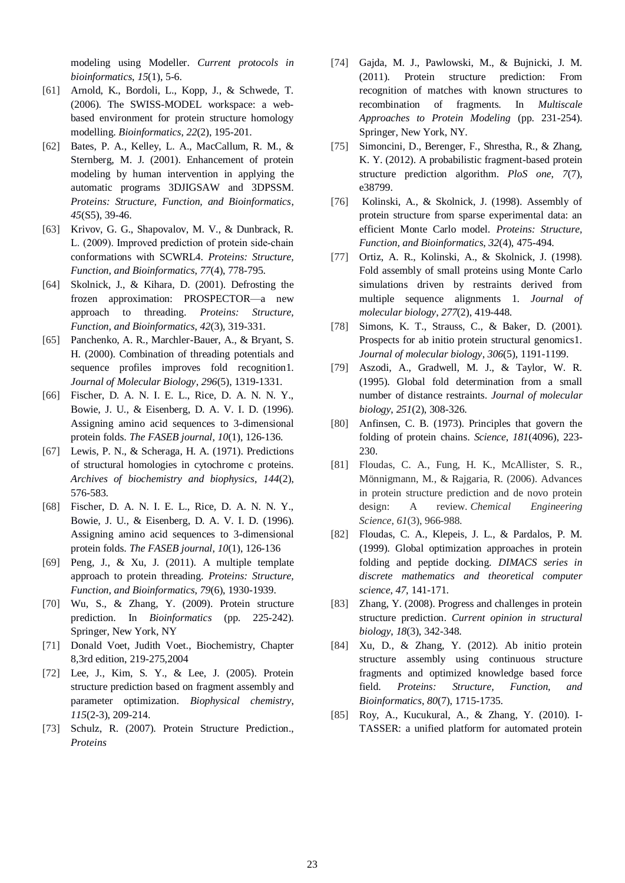modeling using Modeller. *Current protocols in bioinformatics*, *15*(1), 5-6.

- [61] Arnold, K., Bordoli, L., Kopp, J., & Schwede, T. (2006). The SWISS-MODEL workspace: a webbased environment for protein structure homology modelling. *Bioinformatics*, *22*(2), 195-201.
- [62] Bates, P. A., Kelley, L. A., MacCallum, R. M., & Sternberg, M. J. (2001). Enhancement of protein modeling by human intervention in applying the automatic programs 3DJIGSAW and 3DPSSM. *Proteins: Structure, Function, and Bioinformatics*, *45*(S5), 39-46.
- [63] Krivov, G. G., Shapovalov, M. V., & Dunbrack, R. L. (2009). Improved prediction of protein side‐chain conformations with SCWRL4. *Proteins: Structure, Function, and Bioinformatics*, *77*(4), 778-795.
- [64] Skolnick, J., & Kihara, D. (2001). Defrosting the frozen approximation: PROSPECTOR—a new approach to threading. *Proteins: Structure, Function, and Bioinformatics*, *42*(3), 319-331.
- [65] Panchenko, A. R., Marchler-Bauer, A., & Bryant, S. H. (2000). Combination of threading potentials and sequence profiles improves fold recognition1. *Journal of Molecular Biology*, *296*(5), 1319-1331.
- [66] Fischer, D. A. N. I. E. L., Rice, D. A. N. N. Y., Bowie, J. U., & Eisenberg, D. A. V. I. D. (1996). Assigning amino acid sequences to 3-dimensional protein folds. *The FASEB journal*, *10*(1), 126-136.
- [67] Lewis, P. N., & Scheraga, H. A. (1971). Predictions of structural homologies in cytochrome c proteins. *Archives of biochemistry and biophysics*, *144*(2), 576-583.
- [68] Fischer, D. A. N. I. E. L., Rice, D. A. N. N. Y., Bowie, J. U., & Eisenberg, D. A. V. I. D. (1996). Assigning amino acid sequences to 3-dimensional protein folds. *The FASEB journal*, *10*(1), 126-136
- [69] Peng, J., & Xu, J. (2011). A multiple template approach to protein threading. *Proteins: Structure, Function, and Bioinformatics*, *79*(6), 1930-1939.
- [70] Wu, S., & Zhang, Y. (2009). Protein structure prediction. In *Bioinformatics* (pp. 225-242). Springer, New York, NY
- [71] Donald Voet, Judith Voet., Biochemistry, Chapter 8,3rd edition, 219-275,2004
- [72] Lee, J., Kim, S. Y., & Lee, J. (2005). Protein structure prediction based on fragment assembly and parameter optimization. *Biophysical chemistry*, *115*(2-3), 209-214.
- [73] Schulz, R. (2007). Protein Structure Prediction., *Proteins*
- [74] Gajda, M. J., Pawlowski, M., & Bujnicki, J. M. (2011). Protein structure prediction: From recognition of matches with known structures to recombination of fragments. In *Multiscale Approaches to Protein Modeling* (pp. 231-254). Springer, New York, NY.
- [75] Simoncini, D., Berenger, F., Shrestha, R., & Zhang, K. Y. (2012). A probabilistic fragment-based protein structure prediction algorithm. *PloS one*, *7*(7), e38799.
- [76] Kolinski, A., & Skolnick, J. (1998). Assembly of protein structure from sparse experimental data: an efficient Monte Carlo model. *Proteins: Structure, Function, and Bioinformatics*, *32*(4), 475-494.
- [77] Ortiz, A. R., Kolinski, A., & Skolnick, J. (1998). Fold assembly of small proteins using Monte Carlo simulations driven by restraints derived from multiple sequence alignments 1. *Journal of molecular biology*, *277*(2), 419-448.
- [78] Simons, K. T., Strauss, C., & Baker, D. (2001). Prospects for ab initio protein structural genomics1. *Journal of molecular biology*, *306*(5), 1191-1199.
- [79] Aszodi, A., Gradwell, M. J., & Taylor, W. R. (1995). Global fold determination from a small number of distance restraints. *Journal of molecular biology*, *251*(2), 308-326.
- [80] Anfinsen, C. B. (1973). Principles that govern the folding of protein chains. *Science*, *181*(4096), 223- 230.
- [81] Floudas, C. A., Fung, H. K., McAllister, S. R., Mönnigmann, M., & Rajgaria, R. (2006). Advances in protein structure prediction and de novo protein design: A review. *Chemical Engineering Science*, *61*(3), 966-988.
- [82] Floudas, C. A., Klepeis, J. L., & Pardalos, P. M. (1999). Global optimization approaches in protein folding and peptide docking. *DIMACS series in discrete mathematics and theoretical computer science*, *47*, 141-171.
- [83] Zhang, Y. (2008). Progress and challenges in protein structure prediction. *Current opinion in structural biology*, *18*(3), 342-348.
- [84] Xu, D., & Zhang, Y. (2012). Ab initio protein structure assembly using continuous structure fragments and optimized knowledge based force field. *Proteins: Structure, Function, and Bioinformatics*, *80*(7), 1715-1735.
- [85] Roy, A., Kucukural, A., & Zhang, Y. (2010). I-TASSER: a unified platform for automated protein